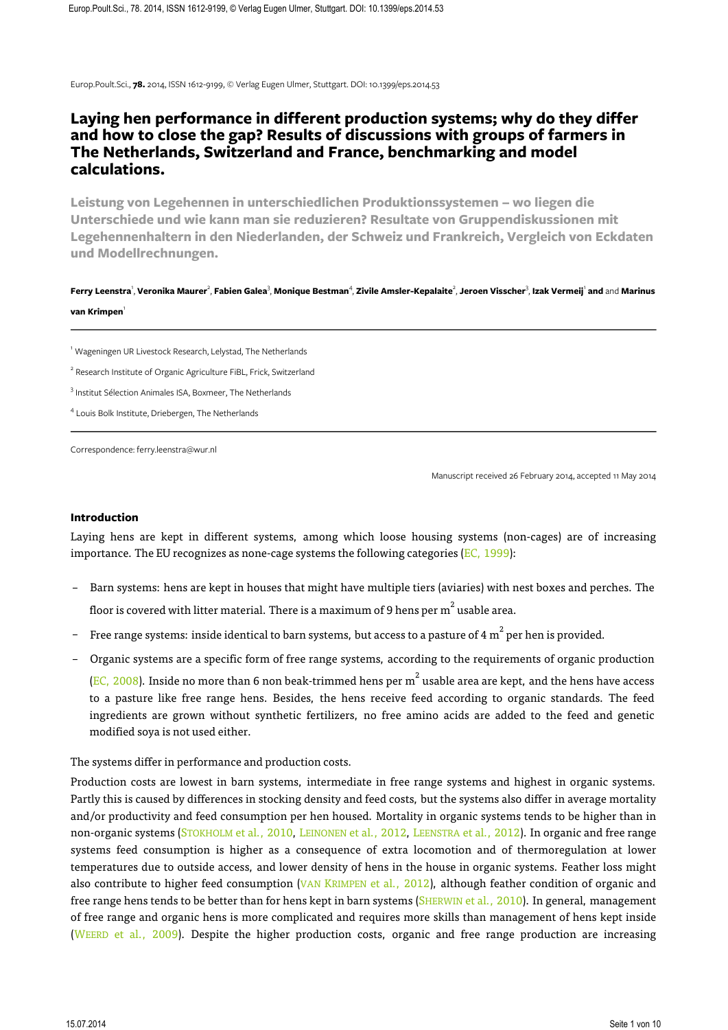Europ.Poult.Sci., **78.** 2014, ISSN 1612-9199, © Verlag Eugen Ulmer, Stuttgart. DOI: 10.1399/eps.2014.53

# **Laying hen performance in different production systems; why do they differ and how to close the gap? Results of discussions with groups of farmers in The Netherlands, Switzerland and France, benchmarking and model calculations.**

**Leistung von Legehennen in unterschiedlichen Produktionssystemen – wo liegen die Unterschiede und wie kann man sie reduzieren? Resultate von Gruppendiskussionen mit Legehennenhaltern in den Niederlanden, der Schweiz und Frankreich, Vergleich von Eckdaten und Modellrechnungen.**

**Ferry Leenstra**', Veronika Maurer<sup>2</sup>, Fabien Galea<sup>3</sup>, Monique Bestman<sup>4</sup>, Zivile Amsler-Kepalaite<sup>2</sup>, Jeroen Visscher<sup>3</sup>, Izak Vermeijˈ and and Marinus **van Krimpen** 

<sup>1</sup> Wageningen UR Livestock Research, Lelystad, The Netherlands

<sup>2</sup> Research Institute of Organic Agriculture FiBL, Frick, Switzerland

<sup>3</sup> Institut Sélection Animales ISA, Boxmeer, The Netherlands

<sup>4</sup> Louis Bolk Institute, Driebergen, The Netherlands

Correspondence: ferry.leenstra@wur.nl

Manuscript received 26 February 2014, accepted 11 May 2014

#### **Introduction**

Laying hens are kept in different systems, among which loose housing systems (non-cages) are of increasing importance. The EU recognizes as none-cage systems the following categories ( $EC$ , 1999):

- Barn systems: hens are kept in houses that might have multiple tiers (aviaries) with nest boxes and perches. The floor is covered with litter material. There is a maximum of 9 hens per  $\mathrm{m}^{2}$  usable area.
- $\,$  Free range systems: inside identical to barn systems, but access to a pasture of 4  ${\rm m}^2$  per hen is provided.
- Organic systems are a specific form of free range systems, according to the requirements of organic production

(EC, 2008). Inside no more than 6 non beak-trimmed hens per  $m^2$  usable area are kept, and the hens have access to a pasture like free range hens. Besides, the hens receive feed according to organic standards. The feed ingredients are grown without synthetic fertilizers, no free amino acids are added to the feed and genetic modified soya is not used either.

The systems differ in performance and production costs.

Production costs are lowest in barn systems, intermediate in free range systems and highest in organic systems. Partly this is caused by differences in stocking density and feed costs, but the systems also differ in average mortality and/or productivity and feed consumption per hen housed. Mortality in organic systems tends to be higher than in non-organic systems (STOKHOLM et al., 2010, LEINONEN et al., 2012, LEENSTRA et al., 2012). In organic and free range systems feed consumption is higher as a consequence of extra locomotion and of thermoregulation at lower temperatures due to outside access, and lower density of hens in the house in organic systems. Feather loss might also contribute to higher feed consumption (VAN KRIMPEN et al., 2012), although feather condition of organic and free range hens tends to be better than for hens kept in barn systems (SHERWIN et al., 2010). In general, management of free range and organic hens is more complicated and requires more skills than management of hens kept inside (WEERD et al., 2009). Despite the higher production costs, organic and free range production are increasing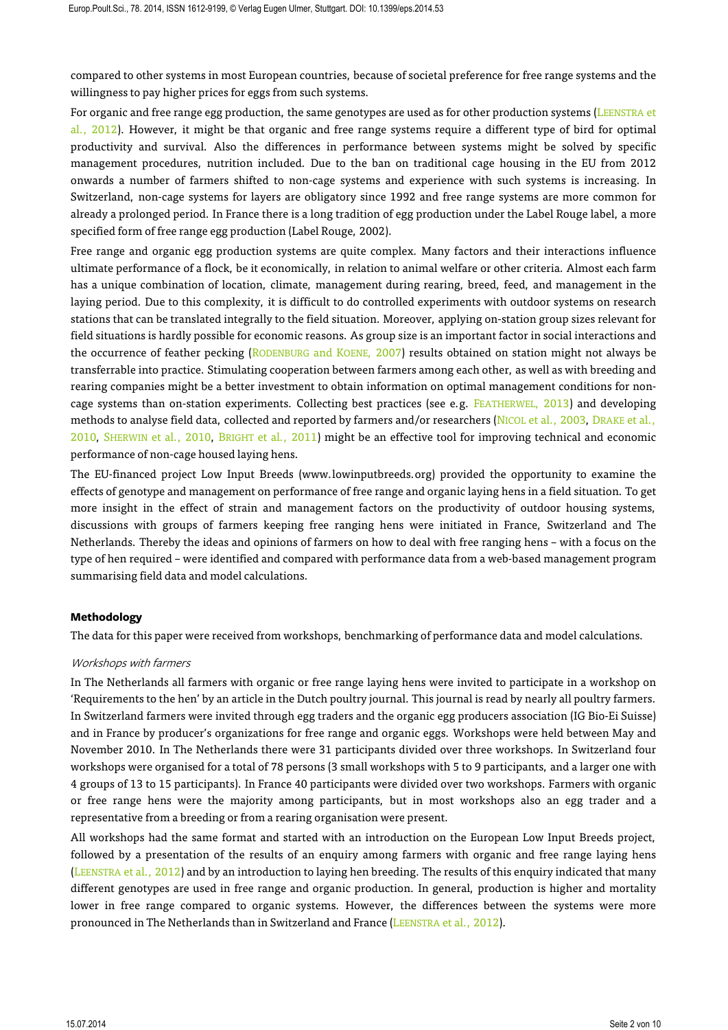compared to other systems in most European countries, because of societal preference for free range systems and the willingness to pay higher prices for eggs from such systems.

For organic and free range egg production, the same genotypes are used as for other production systems (LEENSTRA et al., 2012). However, it might be that organic and free range systems require a different type of bird for optimal productivity and survival. Also the differences in performance between systems might be solved by specific management procedures, nutrition included. Due to the ban on traditional cage housing in the EU from 2012 onwards a number of farmers shifted to non-cage systems and experience with such systems is increasing. In Switzerland, non-cage systems for layers are obligatory since 1992 and free range systems are more common for already a prolonged period. In France there is a long tradition of egg production under the Label Rouge label, a more specified form of free range egg production (Label Rouge, 2002).

Free range and organic egg production systems are quite complex. Many factors and their interactions influence ultimate performance of a flock, be it economically, in relation to animal welfare or other criteria. Almost each farm has a unique combination of location, climate, management during rearing, breed, feed, and management in the laying period. Due to this complexity, it is difficult to do controlled experiments with outdoor systems on research stations that can be translated integrally to the field situation. Moreover, applying on-station group sizes relevant for field situations is hardly possible for economic reasons. As group size is an important factor in social interactions and the occurrence of feather pecking (RODENBURG and KOENE, 2007) results obtained on station might not always be transferrable into practice. Stimulating cooperation between farmers among each other, as well as with breeding and rearing companies might be a better investment to obtain information on optimal management conditions for noncage systems than on-station experiments. Collecting best practices (see e.g. FEATHERWEL, 2013) and developing methods to analyse field data, collected and reported by farmers and/or researchers (NICOL et al., 2003, DRAKE et al., 2010, SHERWIN et al., 2010, BRIGHT et al., 2011) might be an effective tool for improving technical and economic performance of non-cage housed laying hens.

The EU-financed project Low Input Breeds (www.lowinputbreeds.org) provided the opportunity to examine the effects of genotype and management on performance of free range and organic laying hens in a field situation. To get more insight in the effect of strain and management factors on the productivity of outdoor housing systems, discussions with groups of farmers keeping free ranging hens were initiated in France, Switzerland and The Netherlands. Thereby the ideas and opinions of farmers on how to deal with free ranging hens – with a focus on the type of hen required – were identified and compared with performance data from a web-based management program summarising field data and model calculations.

#### **Methodology**

The data for this paper were received from workshops, benchmarking of performance data and model calculations.

#### Workshops with farmers

In The Netherlands all farmers with organic or free range laying hens were invited to participate in a workshop on 'Requirements to the hen' by an article in the Dutch poultry journal. This journal is read by nearly all poultry farmers. In Switzerland farmers were invited through egg traders and the organic egg producers association (IG Bio-Ei Suisse) and in France by producer's organizations for free range and organic eggs. Workshops were held between May and November 2010. In The Netherlands there were 31 participants divided over three workshops. In Switzerland four workshops were organised for a total of 78 persons (3 small workshops with 5 to 9 participants, and a larger one with 4 groups of 13 to 15 participants). In France 40 participants were divided over two workshops. Farmers with organic or free range hens were the majority among participants, but in most workshops also an egg trader and a representative from a breeding or from a rearing organisation were present.

All workshops had the same format and started with an introduction on the European Low Input Breeds project, followed by a presentation of the results of an enquiry among farmers with organic and free range laying hens (LEENSTRA et al., 2012) and by an introduction to laying hen breeding. The results of this enquiry indicated that many different genotypes are used in free range and organic production. In general, production is higher and mortality lower in free range compared to organic systems. However, the differences between the systems were more pronounced in The Netherlands than in Switzerland and France (LEENSTRA et al., 2012).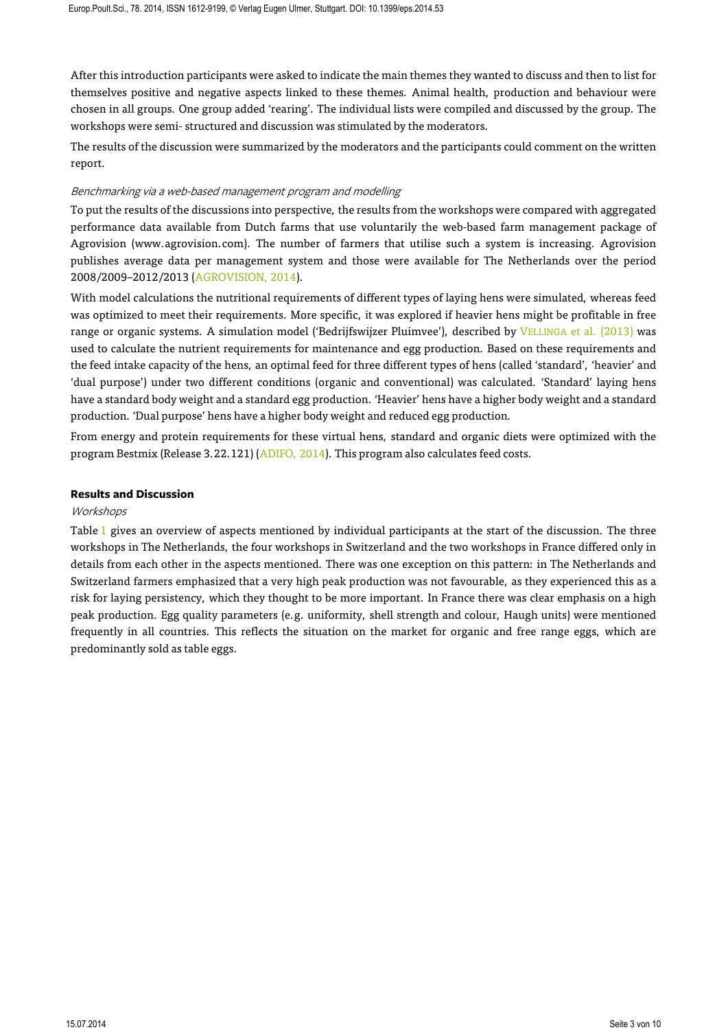After this introduction participants were asked to indicate the main themes they wanted to discuss and then to list for themselves positive and negative aspects linked to these themes. Animal health, production and behaviour were chosen in all groups. One group added 'rearing'. The individual lists were compiled and discussed by the group. The workshops were semi- structured and discussion was stimulated by the moderators.

The results of the discussion were summarized by the moderators and the participants could comment on the written report.

# Benchmarking via a web-based management program and modelling

To put the results of the discussions into perspective, the results from the workshops were compared with aggregated performance data available from Dutch farms that use voluntarily the web-based farm management package of Agrovision (www.agrovision.com). The number of farmers that utilise such a system is increasing. Agrovision publishes average data per management system and those were available for The Netherlands over the period 2008/2009–2012/2013 (AGROVISION, 2014).

With model calculations the nutritional requirements of different types of laying hens were simulated, whereas feed was optimized to meet their requirements. More specific, it was explored if heavier hens might be profitable in free range or organic systems. A simulation model ('Bedrijfswijzer Pluimvee'), described by VELLINGA et al. (2013) was used to calculate the nutrient requirements for maintenance and egg production. Based on these requirements and the feed intake capacity of the hens, an optimal feed for three different types of hens (called 'standard', 'heavier' and 'dual purpose') under two different conditions (organic and conventional) was calculated. 'Standard' laying hens have a standard body weight and a standard egg production. 'Heavier' hens have a higher body weight and a standard production. 'Dual purpose' hens have a higher body weight and reduced egg production.

From energy and protein requirements for these virtual hens, standard and organic diets were optimized with the program Bestmix (Release 3.22.121) (ADIFO, 2014). This program also calculates feed costs.

#### **Results and Discussion**

#### **Workshops**

Table 1 gives an overview of aspects mentioned by individual participants at the start of the discussion. The three workshops in The Netherlands, the four workshops in Switzerland and the two workshops in France differed only in details from each other in the aspects mentioned. There was one exception on this pattern: in The Netherlands and Switzerland farmers emphasized that a very high peak production was not favourable, as they experienced this as a risk for laying persistency, which they thought to be more important. In France there was clear emphasis on a high peak production. Egg quality parameters (e.g. uniformity, shell strength and colour, Haugh units) were mentioned frequently in all countries. This reflects the situation on the market for organic and free range eggs, which are predominantly sold as table eggs.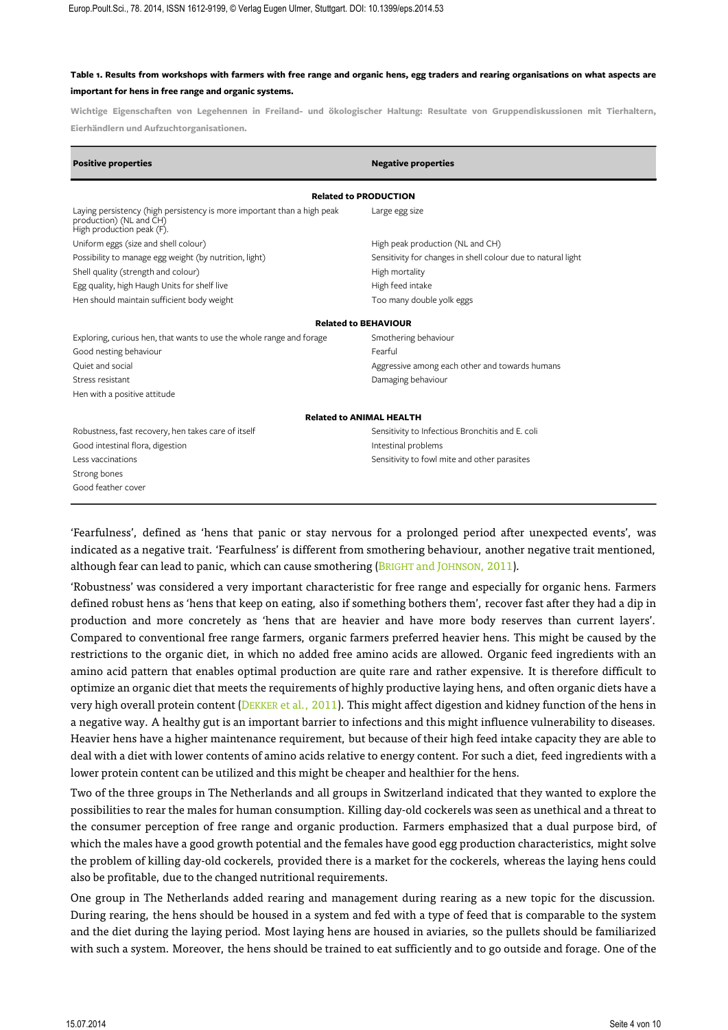# **Table 1. Results from workshops with farmers with free range and organic hens, egg traders and rearing organisations on what aspects are important for hens in free range and organic systems.**

**Wichtige Eigenschaften von Legehennen in Freiland- und ökologischer Haltung: Resultate von Gruppendiskussionen mit Tierhaltern, Eierhändlern und Aufzuchtorganisationen.**

| <b>Positive properties</b>                                                                                                      | <b>Negative properties</b>                                   |  |  |  |  |  |  |  |
|---------------------------------------------------------------------------------------------------------------------------------|--------------------------------------------------------------|--|--|--|--|--|--|--|
| <b>Related to PRODUCTION</b>                                                                                                    |                                                              |  |  |  |  |  |  |  |
| Laying persistency (high persistency is more important than a high peak<br>production) (NL and CH)<br>High production peak (F). | Large egg size                                               |  |  |  |  |  |  |  |
| Uniform eggs (size and shell colour)                                                                                            | High peak production (NL and CH)                             |  |  |  |  |  |  |  |
| Possibility to manage egg weight (by nutrition, light)                                                                          | Sensitivity for changes in shell colour due to natural light |  |  |  |  |  |  |  |
| Shell quality (strength and colour)                                                                                             | High mortality                                               |  |  |  |  |  |  |  |
| Egg quality, high Haugh Units for shelf live                                                                                    | High feed intake                                             |  |  |  |  |  |  |  |
| Hen should maintain sufficient body weight                                                                                      | Too many double yolk eggs                                    |  |  |  |  |  |  |  |
| <b>Related to BEHAVIOUR</b>                                                                                                     |                                                              |  |  |  |  |  |  |  |
| Exploring, curious hen, that wants to use the whole range and forage                                                            | Smothering behaviour                                         |  |  |  |  |  |  |  |
| Good nesting behaviour                                                                                                          | Fearful                                                      |  |  |  |  |  |  |  |
| Quiet and social                                                                                                                | Aggressive among each other and towards humans               |  |  |  |  |  |  |  |
| Stress resistant                                                                                                                | Damaging behaviour                                           |  |  |  |  |  |  |  |
| Hen with a positive attitude                                                                                                    |                                                              |  |  |  |  |  |  |  |
| <b>Related to ANIMAL HEALTH</b>                                                                                                 |                                                              |  |  |  |  |  |  |  |
| Robustness, fast recovery, hen takes care of itself                                                                             | Sensitivity to Infectious Bronchitis and E. coli             |  |  |  |  |  |  |  |
| Good intestinal flora, digestion                                                                                                | Intestinal problems                                          |  |  |  |  |  |  |  |
| Less vaccinations                                                                                                               | Sensitivity to fowl mite and other parasites                 |  |  |  |  |  |  |  |
| Strong bones                                                                                                                    |                                                              |  |  |  |  |  |  |  |
| Good feather cover                                                                                                              |                                                              |  |  |  |  |  |  |  |
|                                                                                                                                 |                                                              |  |  |  |  |  |  |  |

'Fearfulness', defined as 'hens that panic or stay nervous for a prolonged period after unexpected events', was indicated as a negative trait. 'Fearfulness' is different from smothering behaviour, another negative trait mentioned, although fear can lead to panic, which can cause smothering (BRIGHT and JOHNSON, 2011).

'Robustness' was considered a very important characteristic for free range and especially for organic hens. Farmers defined robust hens as 'hens that keep on eating, also if something bothers them', recover fast after they had a dip in production and more concretely as 'hens that are heavier and have more body reserves than current layers'. Compared to conventional free range farmers, organic farmers preferred heavier hens. This might be caused by the restrictions to the organic diet, in which no added free amino acids are allowed. Organic feed ingredients with an amino acid pattern that enables optimal production are quite rare and rather expensive. It is therefore difficult to optimize an organic diet that meets the requirements of highly productive laying hens, and often organic diets have a very high overall protein content (DEKKER et al., 2011). This might affect digestion and kidney function of the hens in a negative way. A healthy gut is an important barrier to infections and this might influence vulnerability to diseases. Heavier hens have a higher maintenance requirement, but because of their high feed intake capacity they are able to deal with a diet with lower contents of amino acids relative to energy content. For such a diet, feed ingredients with a lower protein content can be utilized and this might be cheaper and healthier for the hens.

Two of the three groups in The Netherlands and all groups in Switzerland indicated that they wanted to explore the possibilities to rear the males for human consumption. Killing day-old cockerels was seen as unethical and a threat to the consumer perception of free range and organic production. Farmers emphasized that a dual purpose bird, of which the males have a good growth potential and the females have good egg production characteristics, might solve the problem of killing day-old cockerels, provided there is a market for the cockerels, whereas the laying hens could also be profitable, due to the changed nutritional requirements.

One group in The Netherlands added rearing and management during rearing as a new topic for the discussion. During rearing, the hens should be housed in a system and fed with a type of feed that is comparable to the system and the diet during the laying period. Most laying hens are housed in aviaries, so the pullets should be familiarized with such a system. Moreover, the hens should be trained to eat sufficiently and to go outside and forage. One of the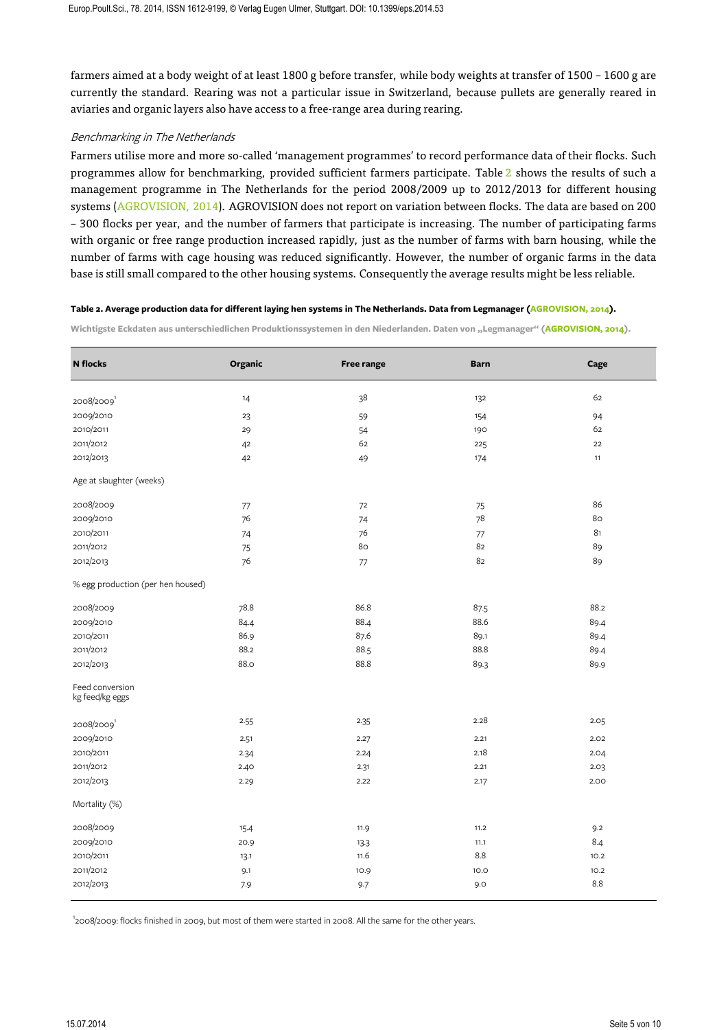farmers aimed at a body weight of at least 1800 g before transfer, while body weights at transfer of 1500 – 1600 g are currently the standard. Rearing was not a particular issue in Switzerland, because pullets are generally reared in aviaries and organic layers also have access to a free-range area during rearing.

## Benchmarking in The Netherlands

Farmers utilise more and more so-called 'management programmes' to record performance data of their flocks. Such programmes allow for benchmarking, provided sufficient farmers participate. Table 2 shows the results of such a management programme in The Netherlands for the period 2008/2009 up to 2012/2013 for different housing systems (AGROVISION, 2014). AGROVISION does not report on variation between flocks. The data are based on 200 – 300 flocks per year, and the number of farmers that participate is increasing. The number of participating farms with organic or free range production increased rapidly, just as the number of farms with barn housing, while the number of farms with cage housing was reduced significantly. However, the number of organic farms in the data base is still small compared to the other housing systems. Consequently the average results might be less reliable.

#### **Table 2. Average production data for different laying hen systems in The Netherlands. Data from Legmanager (AGROVISION, 2014).**

Wichtigste Eckdaten aus unterschiedlichen Produktionssystemen in den Niederlanden. Daten von "Legmanager" (AGROVISION, 2014).

| <b>N</b> flocks                    | Organic | <b>Free range</b> | <b>Barn</b> | Cage |  |  |  |  |
|------------------------------------|---------|-------------------|-------------|------|--|--|--|--|
| 2008/2009                          | 14      | 38                | 132         | 62   |  |  |  |  |
| 2009/2010                          | 23      | 59                | 154         | 94   |  |  |  |  |
| 2010/2011                          | 29      | 54                | 190         | 62   |  |  |  |  |
| 2011/2012                          | 42      | 62                | 225         | 22   |  |  |  |  |
| 2012/2013                          | 42      | 49                | 174         | 11   |  |  |  |  |
| Age at slaughter (weeks)           |         |                   |             |      |  |  |  |  |
| 2008/2009                          | 77      | 72                | 75          | 86   |  |  |  |  |
| 2009/2010                          | 76      | 74                | 78          | 80   |  |  |  |  |
| 2010/2011                          | 74      | 76                | 77          | 81   |  |  |  |  |
| 2011/2012                          | 75      | 80                | 82          | 89   |  |  |  |  |
| 2012/2013                          | 76      | 77                | 82          | 89   |  |  |  |  |
| % egg production (per hen housed)  |         |                   |             |      |  |  |  |  |
| 2008/2009                          | 78.8    | 86.8              | 87.5        | 88.2 |  |  |  |  |
| 2009/2010                          | 84.4    | 88.4              | 88.6        | 89.4 |  |  |  |  |
| 2010/2011                          | 86.9    | 87.6              | 89.1        | 89.4 |  |  |  |  |
| 2011/2012                          | 88.2    | 88.5              | 88.8        | 89.4 |  |  |  |  |
| 2012/2013                          | 88.0    | 88.8              | 89.3        | 89.9 |  |  |  |  |
| Feed conversion<br>kg feed/kg eggs |         |                   |             |      |  |  |  |  |
| 2008/2009                          | 2.55    | 2.35              | 2.28        | 2.05 |  |  |  |  |
| 2009/2010                          | 2.51    | 2.27              | 2.21        | 2.02 |  |  |  |  |
| 2010/2011                          | 2.34    | 2.24              | 2.18        | 2.04 |  |  |  |  |
| 2011/2012                          | 2.40    | 2.31              | 2.21        | 2.03 |  |  |  |  |
| 2012/2013                          | 2.29    | 2.22              | 2.17        | 2.00 |  |  |  |  |
| Mortality (%)                      |         |                   |             |      |  |  |  |  |
| 2008/2009                          | 15.4    | 11.9              | 11.2        | 9.2  |  |  |  |  |
| 2009/2010                          | 20.9    | 13.3              | 11.1        | 8.4  |  |  |  |  |
| 2010/2011                          | 13.1    | 11.6              | 8.8         | 10.2 |  |  |  |  |
| 2011/2012                          | 9.1     | 10.9              | 10.0        | 10.2 |  |  |  |  |
| 2012/2013                          | 7.9     | 9.7               | 9.0         | 8.8  |  |  |  |  |

<sup>1</sup>2008/2009: flocks finished in 2009, but most of them were started in 2008. All the same for the other years.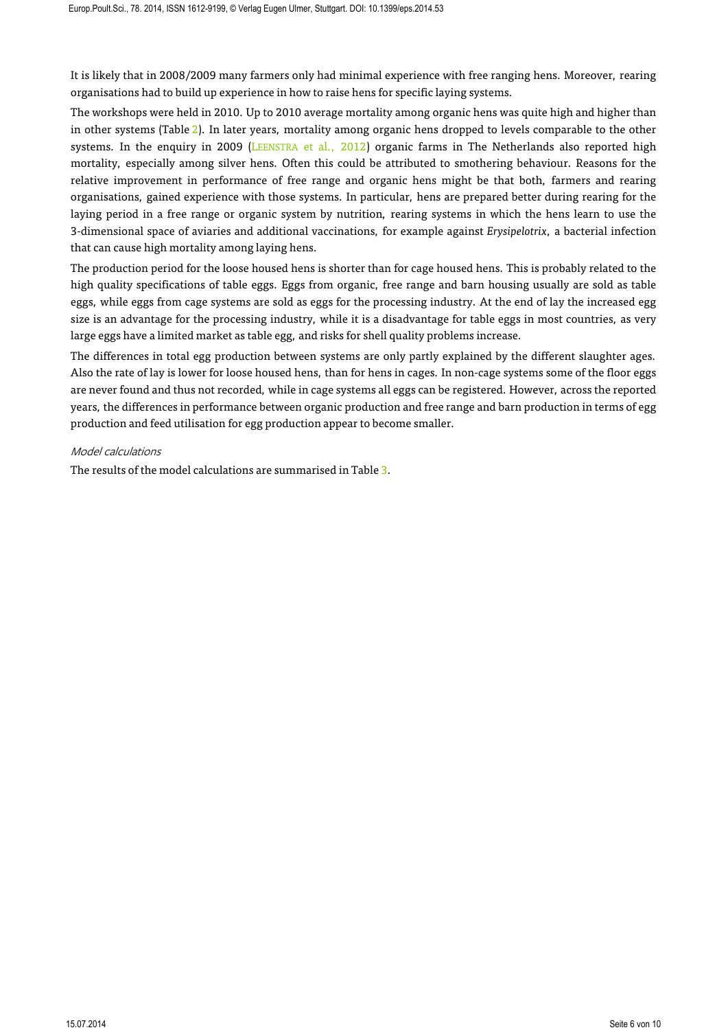It is likely that in 2008/2009 many farmers only had minimal experience with free ranging hens. Moreover, rearing organisations had to build up experience in how to raise hens for specific laying systems.

The workshops were held in 2010. Up to 2010 average mortality among organic hens was quite high and higher than in other systems (Table 2). In later years, mortality among organic hens dropped to levels comparable to the other systems. In the enquiry in 2009 (LEENSTRA et al., 2012) organic farms in The Netherlands also reported high mortality, especially among silver hens. Often this could be attributed to smothering behaviour. Reasons for the relative improvement in performance of free range and organic hens might be that both, farmers and rearing organisations, gained experience with those systems. In particular, hens are prepared better during rearing for the laying period in a free range or organic system by nutrition, rearing systems in which the hens learn to use the 3-dimensional space of aviaries and additional vaccinations, for example against *Erysipelotrix*, a bacterial infection that can cause high mortality among laying hens.

The production period for the loose housed hens is shorter than for cage housed hens. This is probably related to the high quality specifications of table eggs. Eggs from organic, free range and barn housing usually are sold as table eggs, while eggs from cage systems are sold as eggs for the processing industry. At the end of lay the increased egg size is an advantage for the processing industry, while it is a disadvantage for table eggs in most countries, as very large eggs have a limited market as table egg, and risks for shell quality problems increase.

The differences in total egg production between systems are only partly explained by the different slaughter ages. Also the rate of lay is lower for loose housed hens, than for hens in cages. In non-cage systems some of the floor eggs are never found and thus not recorded, while in cage systems all eggs can be registered. However, across the reported years, the differences in performance between organic production and free range and barn production in terms of egg production and feed utilisation for egg production appear to become smaller.

## Model calculations

The results of the model calculations are summarised in Table 3.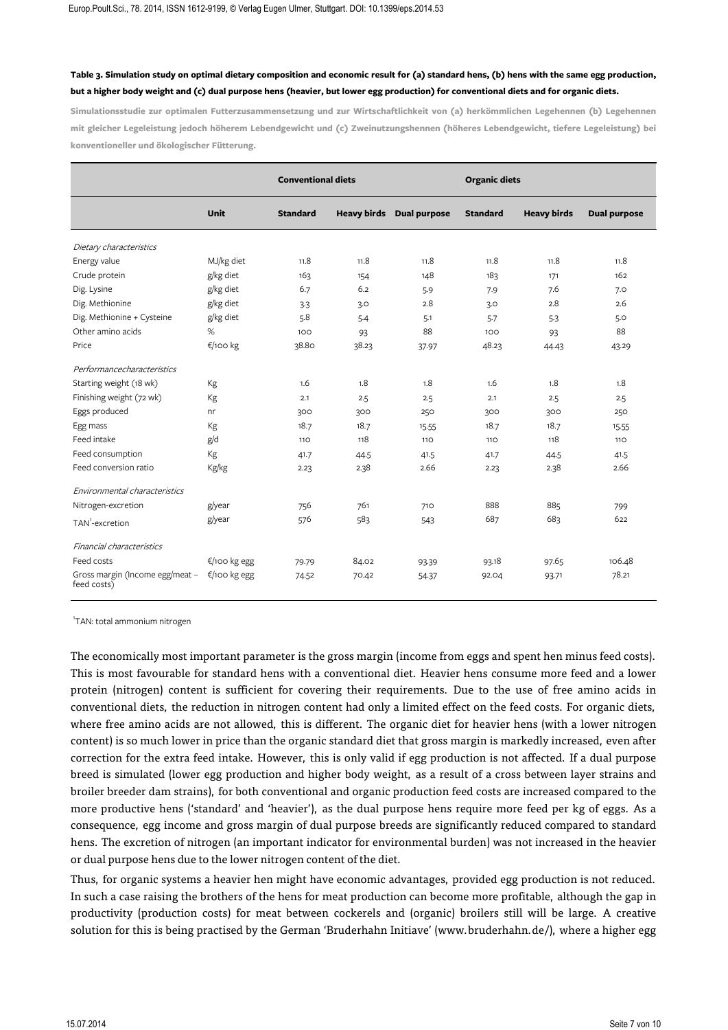# **Table 3. Simulation study on optimal dietary composition and economic result for (a) standard hens, (b) hens with the same egg production, but a higher body weight and (c) dual purpose hens (heavier, but lower egg production) for conventional diets and for organic diets.**

**Simulationsstudie zur optimalen Futterzusammensetzung und zur Wirtschaftlichkeit von (a) herkömmlichen Legehennen (b) Legehennen mit gleicher Legeleistung jedoch höherem Lebendgewicht und (c) Zweinutzungshennen (höheres Lebendgewicht, tiefere Legeleistung) bei konventioneller und ökologischer Fütterung.**

|                                                |              | <b>Conventional diets</b> |                    |                     | <b>Organic diets</b> |                    |                     |
|------------------------------------------------|--------------|---------------------------|--------------------|---------------------|----------------------|--------------------|---------------------|
|                                                | Unit         | <b>Standard</b>           | <b>Heavy birds</b> | <b>Dual purpose</b> | <b>Standard</b>      | <b>Heavy birds</b> | <b>Dual purpose</b> |
| Dietary characteristics                        |              |                           |                    |                     |                      |                    |                     |
| Energy value                                   | MJ/kg diet   | 11.8                      | 11.8               | 11.8                | 11.8                 | 11.8               | 11.8                |
| Crude protein                                  | g/kg diet    | 163                       | 154                | 148                 | 183                  | 171                | 162                 |
| Dig. Lysine                                    | g/kg diet    | 6.7                       | 6.2                | 5.9                 | 7.9                  | 7.6                | 7.0                 |
| Dig. Methionine                                | g/kg diet    | 3.3                       | 3.0                | 2.8                 | 3.0                  | 2.8                | 2.6                 |
| Dig. Methionine + Cysteine                     | g/kg diet    | 5.8                       | 5.4                | 5.1                 | 5.7                  | 5.3                | 5.0                 |
| Other amino acids                              | $\%$         | 100                       | 93                 | 88                  | 100                  | 93                 | 88                  |
| Price                                          | €/100 kg     | 38.80                     | 38.23              | 37.97               | 48.23                | 44.43              | 43.29               |
| Performancecharacteristics                     |              |                           |                    |                     |                      |                    |                     |
| Starting weight (18 wk)                        | Кg           | 1.6                       | 1.8                | 1.8                 | 1.6                  | 1.8                | 1.8                 |
| Finishing weight (72 wk)                       | Kg           | 2.1                       | 2.5                | 2.5                 | 2.1                  | 2.5                | 2.5                 |
| Eggs produced                                  | nr           | 300                       | 300                | 250                 | 300                  | 300                | 250                 |
| Egg mass                                       | Kg           | 18.7                      | 18.7               | 15.55               | 18.7                 | 18.7               | 15.55               |
| Feed intake                                    | g/d          | 110                       | 118                | <b>110</b>          | 110                  | 118                | <b>110</b>          |
| Feed consumption                               | Kg           | 41.7                      | 44.5               | 41.5                | 41.7                 | 44.5               | 41.5                |
| Feed conversion ratio                          | Kg/kg        | 2.23                      | 2.38               | 2.66                | 2.23                 | 2.38               | 2.66                |
| Environmental characteristics                  |              |                           |                    |                     |                      |                    |                     |
| Nitrogen-excretion                             | g/year       | 756                       | 761                | 710                 | 888                  | 885                | 799                 |
| TAN <sup>1</sup> -excretion                    | g/year       | 576                       | 583                | 543                 | 687                  | 683                | 622                 |
| Financial characteristics                      |              |                           |                    |                     |                      |                    |                     |
| Feed costs                                     | €/100 kg egg | 79.79                     | 84.02              | 93.39               | 93.18                | 97.65              | 106.48              |
| Gross margin (Income egg/meat -<br>feed costs) | €/100 kg egg | 74.52                     | 70.42              | 54.37               | 92.04                | 93.71              | 78.21               |

<sup>1</sup>TAN: total ammonium nitrogen

The economically most important parameter is the gross margin (income from eggs and spent hen minus feed costs). This is most favourable for standard hens with a conventional diet. Heavier hens consume more feed and a lower protein (nitrogen) content is sufficient for covering their requirements. Due to the use of free amino acids in conventional diets, the reduction in nitrogen content had only a limited effect on the feed costs. For organic diets, where free amino acids are not allowed, this is different. The organic diet for heavier hens (with a lower nitrogen content) is so much lower in price than the organic standard diet that gross margin is markedly increased, even after correction for the extra feed intake. However, this is only valid if egg production is not affected. If a dual purpose breed is simulated (lower egg production and higher body weight, as a result of a cross between layer strains and broiler breeder dam strains), for both conventional and organic production feed costs are increased compared to the more productive hens ('standard' and 'heavier'), as the dual purpose hens require more feed per kg of eggs. As a consequence, egg income and gross margin of dual purpose breeds are significantly reduced compared to standard hens. The excretion of nitrogen (an important indicator for environmental burden) was not increased in the heavier or dual purpose hens due to the lower nitrogen content of the diet.

Thus, for organic systems a heavier hen might have economic advantages, provided egg production is not reduced. In such a case raising the brothers of the hens for meat production can become more profitable, although the gap in productivity (production costs) for meat between cockerels and (organic) broilers still will be large. A creative solution for this is being practised by the German 'Bruderhahn Initiave' (www.bruderhahn.de/), where a higher egg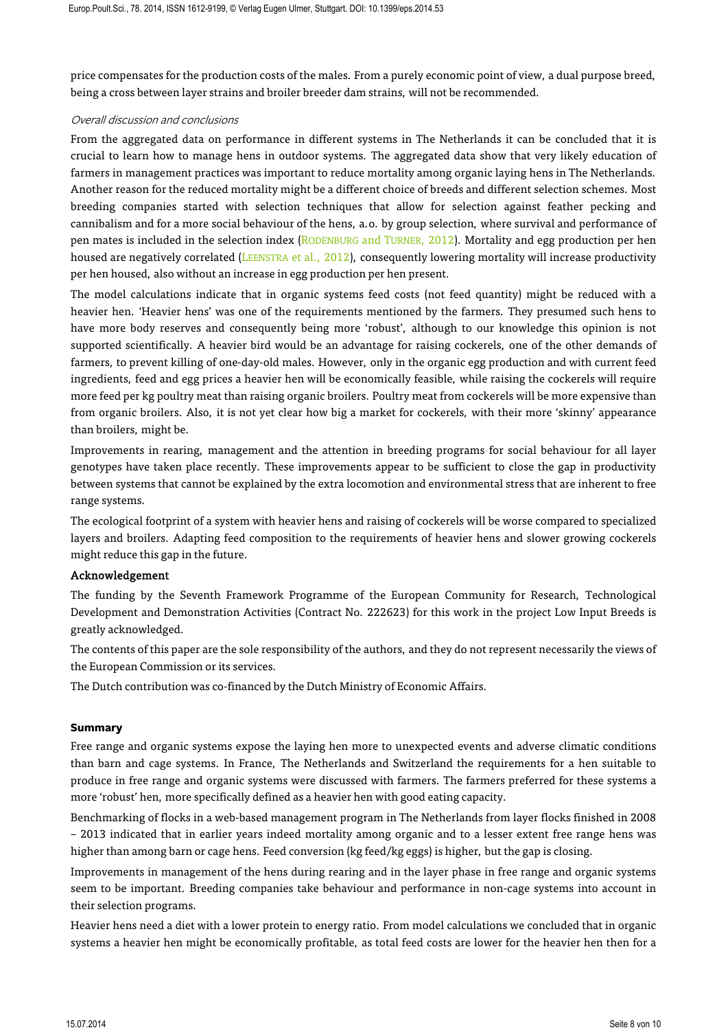price compensates for the production costs of the males. From a purely economic point of view, a dual purpose breed, being a cross between layer strains and broiler breeder dam strains, will not be recommended.

# Overall discussion and conclusions

From the aggregated data on performance in different systems in The Netherlands it can be concluded that it is crucial to learn how to manage hens in outdoor systems. The aggregated data show that very likely education of farmers in management practices was important to reduce mortality among organic laying hens in The Netherlands. Another reason for the reduced mortality might be a different choice of breeds and different selection schemes. Most breeding companies started with selection techniques that allow for selection against feather pecking and cannibalism and for a more social behaviour of the hens, a.o. by group selection, where survival and performance of pen mates is included in the selection index (RODENBURG and TURNER, 2012). Mortality and egg production per hen housed are negatively correlated (LEENSTRA et al., 2012), consequently lowering mortality will increase productivity per hen housed, also without an increase in egg production per hen present.

The model calculations indicate that in organic systems feed costs (not feed quantity) might be reduced with a heavier hen. 'Heavier hens' was one of the requirements mentioned by the farmers. They presumed such hens to have more body reserves and consequently being more 'robust', although to our knowledge this opinion is not supported scientifically. A heavier bird would be an advantage for raising cockerels, one of the other demands of farmers, to prevent killing of one-day-old males. However, only in the organic egg production and with current feed ingredients, feed and egg prices a heavier hen will be economically feasible, while raising the cockerels will require more feed per kg poultry meat than raising organic broilers. Poultry meat from cockerels will be more expensive than from organic broilers. Also, it is not yet clear how big a market for cockerels, with their more 'skinny' appearance than broilers, might be.

Improvements in rearing, management and the attention in breeding programs for social behaviour for all layer genotypes have taken place recently. These improvements appear to be sufficient to close the gap in productivity between systems that cannot be explained by the extra locomotion and environmental stress that are inherent to free range systems.

The ecological footprint of a system with heavier hens and raising of cockerels will be worse compared to specialized layers and broilers. Adapting feed composition to the requirements of heavier hens and slower growing cockerels might reduce this gap in the future.

#### Acknowledgement

The funding by the Seventh Framework Programme of the European Community for Research, Technological Development and Demonstration Activities (Contract No. 222623) for this work in the project Low Input Breeds is greatly acknowledged.

The contents of this paper are the sole responsibility of the authors, and they do not represent necessarily the views of the European Commission or its services.

The Dutch contribution was co-financed by the Dutch Ministry of Economic Affairs.

# **Summary**

Free range and organic systems expose the laying hen more to unexpected events and adverse climatic conditions than barn and cage systems. In France, The Netherlands and Switzerland the requirements for a hen suitable to produce in free range and organic systems were discussed with farmers. The farmers preferred for these systems a more 'robust' hen, more specifically defined as a heavier hen with good eating capacity.

Benchmarking of flocks in a web-based management program in The Netherlands from layer flocks finished in 2008 – 2013 indicated that in earlier years indeed mortality among organic and to a lesser extent free range hens was higher than among barn or cage hens. Feed conversion (kg feed/kg eggs) is higher, but the gap is closing.

Improvements in management of the hens during rearing and in the layer phase in free range and organic systems seem to be important. Breeding companies take behaviour and performance in non-cage systems into account in their selection programs.

Heavier hens need a diet with a lower protein to energy ratio. From model calculations we concluded that in organic systems a heavier hen might be economically profitable, as total feed costs are lower for the heavier hen then for a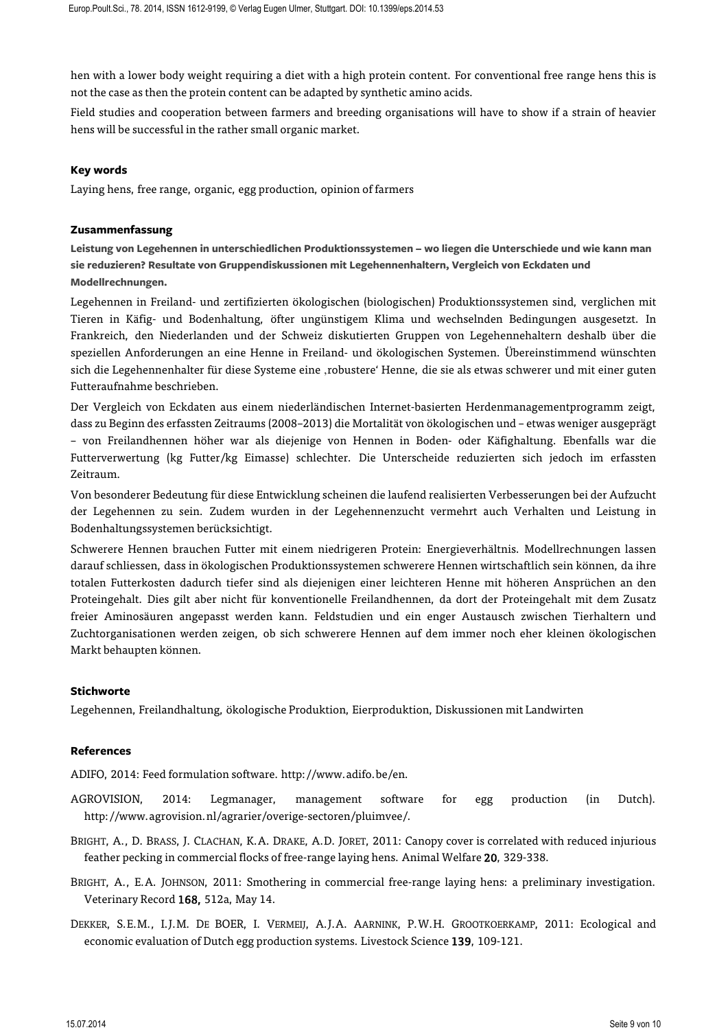hen with a lower body weight requiring a diet with a high protein content. For conventional free range hens this is not the case as then the protein content can be adapted by synthetic amino acids.

Field studies and cooperation between farmers and breeding organisations will have to show if a strain of heavier hens will be successful in the rather small organic market.

# **Key words**

Laying hens, free range, organic, egg production, opinion of farmers

## **Zusammenfassung**

**Leistung von Legehennen in unterschiedlichen Produktionssystemen – wo liegen die Unterschiede und wie kann man sie reduzieren? Resultate von Gruppendiskussionen mit Legehennenhaltern, Vergleich von Eckdaten und Modellrechnungen.**

Legehennen in Freiland- und zertifizierten ökologischen (biologischen) Produktionssystemen sind, verglichen mit Tieren in Käfig- und Bodenhaltung, öfter ungünstigem Klima und wechselnden Bedingungen ausgesetzt. In Frankreich, den Niederlanden und der Schweiz diskutierten Gruppen von Legehennehaltern deshalb über die speziellen Anforderungen an eine Henne in Freiland- und ökologischen Systemen. Übereinstimmend wünschten sich die Legehennenhalter für diese Systeme eine 'robustere' Henne, die sie als etwas schwerer und mit einer guten Futteraufnahme beschrieben.

Der Vergleich von Eckdaten aus einem niederländischen Internet-basierten Herdenmanagementprogramm zeigt, dass zu Beginn des erfassten Zeitraums (2008–2013) die Mortalität von ökologischen und – etwas weniger ausgeprägt – von Freilandhennen höher war als diejenige von Hennen in Boden- oder Käfighaltung. Ebenfalls war die Futterverwertung (kg Futter/kg Eimasse) schlechter. Die Unterscheide reduzierten sich jedoch im erfassten Zeitraum.

Von besonderer Bedeutung für diese Entwicklung scheinen die laufend realisierten Verbesserungen bei der Aufzucht der Legehennen zu sein. Zudem wurden in der Legehennenzucht vermehrt auch Verhalten und Leistung in Bodenhaltungssystemen berücksichtigt.

Schwerere Hennen brauchen Futter mit einem niedrigeren Protein: Energieverhältnis. Modellrechnungen lassen darauf schliessen, dass in ökologischen Produktionssystemen schwerere Hennen wirtschaftlich sein können, da ihre totalen Futterkosten dadurch tiefer sind als diejenigen einer leichteren Henne mit höheren Ansprüchen an den Proteingehalt. Dies gilt aber nicht für konventionelle Freilandhennen, da dort der Proteingehalt mit dem Zusatz freier Aminosäuren angepasst werden kann. Feldstudien und ein enger Austausch zwischen Tierhaltern und Zuchtorganisationen werden zeigen, ob sich schwerere Hennen auf dem immer noch eher kleinen ökologischen Markt behaupten können.

#### **Stichworte**

Legehennen, Freilandhaltung, ökologische Produktion, Eierproduktion, Diskussionen mit Landwirten

#### **References**

ADIFO, 2014: Feed formulation software. http://www.adifo.be/en.

- AGROVISION, 2014: Legmanager, management software for egg production (in Dutch). http://www.agrovision.nl/agrarier/overige-sectoren/pluimvee/.
- BRIGHT, A., D. BRASS, J. CLACHAN, K.A. DRAKE, A.D. JORET, 2011: Canopy cover is correlated with reduced injurious feather pecking in commercial flocks of free-range laying hens. Animal Welfare 20, 329-338.
- BRIGHT, A., E.A. JOHNSON, 2011: Smothering in commercial free-range laying hens: a preliminary investigation. Veterinary Record 168, 512a, May 14.
- DEKKER, S.E.M., I.J.M. DE BOER, I. VERMEIJ, A.J.A. AARNINK, P.W.H. GROOTKOERKAMP, 2011: Ecological and economic evaluation of Dutch egg production systems. Livestock Science 139, 109-121.